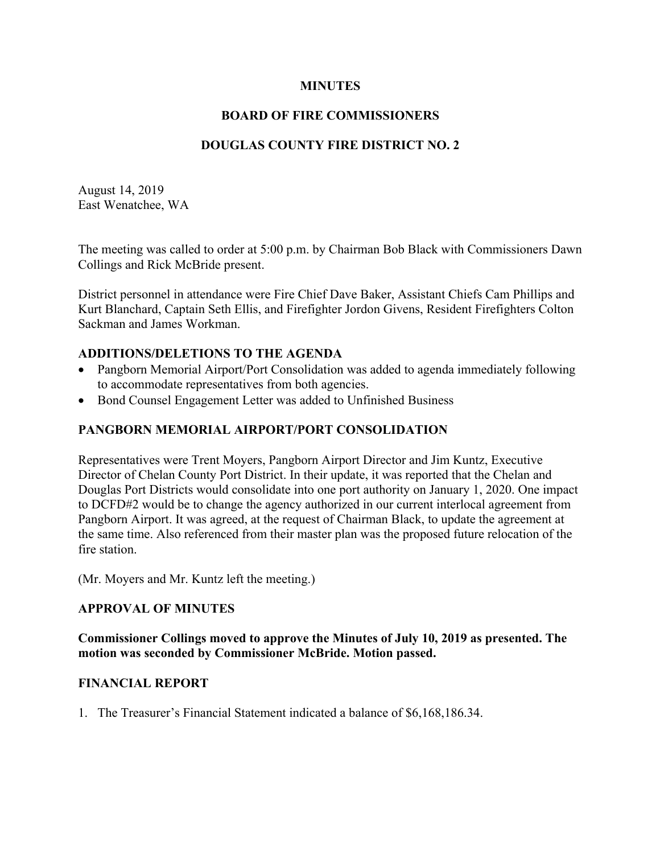### **MINUTES**

## **BOARD OF FIRE COMMISSIONERS**

## **DOUGLAS COUNTY FIRE DISTRICT NO. 2**

August 14, 2019 East Wenatchee, WA

The meeting was called to order at 5:00 p.m. by Chairman Bob Black with Commissioners Dawn Collings and Rick McBride present.

District personnel in attendance were Fire Chief Dave Baker, Assistant Chiefs Cam Phillips and Kurt Blanchard, Captain Seth Ellis, and Firefighter Jordon Givens, Resident Firefighters Colton Sackman and James Workman.

#### **ADDITIONS/DELETIONS TO THE AGENDA**

- Pangborn Memorial Airport/Port Consolidation was added to agenda immediately following to accommodate representatives from both agencies.
- Bond Counsel Engagement Letter was added to Unfinished Business

## **PANGBORN MEMORIAL AIRPORT/PORT CONSOLIDATION**

Representatives were Trent Moyers, Pangborn Airport Director and Jim Kuntz, Executive Director of Chelan County Port District. In their update, it was reported that the Chelan and Douglas Port Districts would consolidate into one port authority on January 1, 2020. One impact to DCFD#2 would be to change the agency authorized in our current interlocal agreement from Pangborn Airport. It was agreed, at the request of Chairman Black, to update the agreement at the same time. Also referenced from their master plan was the proposed future relocation of the fire station.

(Mr. Moyers and Mr. Kuntz left the meeting.)

#### **APPROVAL OF MINUTES**

**Commissioner Collings moved to approve the Minutes of July 10, 2019 as presented. The motion was seconded by Commissioner McBride. Motion passed.**

#### **FINANCIAL REPORT**

1. The Treasurer's Financial Statement indicated a balance of \$6,168,186.34.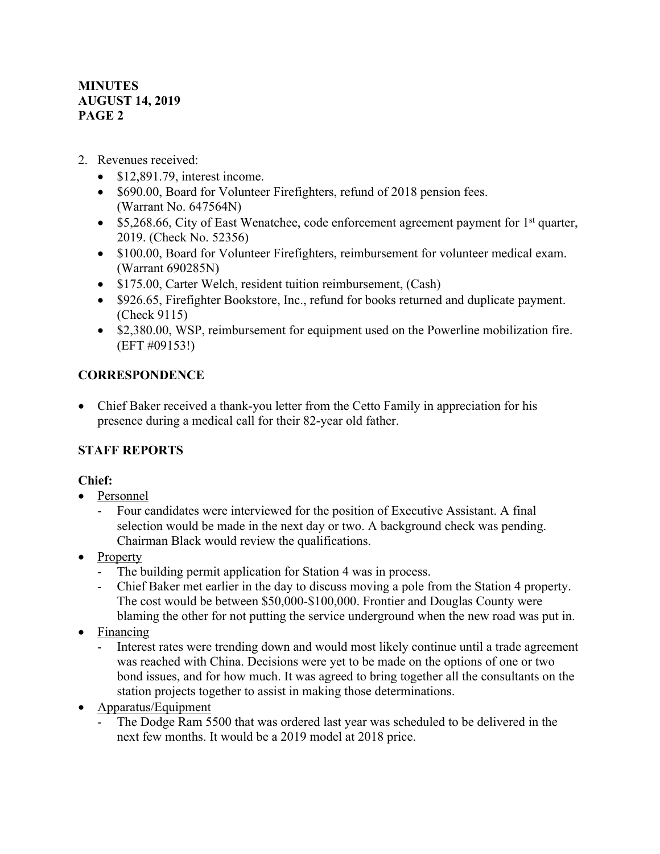## 2. Revenues received:

- \$12,891.79, interest income.
- \$690.00, Board for Volunteer Firefighters, refund of 2018 pension fees. (Warrant No. 647564N)
- \$5,268.66, City of East Wenatchee, code enforcement agreement payment for  $1<sup>st</sup>$  quarter, 2019. (Check No. 52356)
- \$100.00, Board for Volunteer Firefighters, reimbursement for volunteer medical exam. (Warrant 690285N)
- \$175.00, Carter Welch, resident tuition reimbursement, (Cash)
- \$926.65, Firefighter Bookstore, Inc., refund for books returned and duplicate payment. (Check 9115)
- \$2,380.00, WSP, reimbursement for equipment used on the Powerline mobilization fire. (EFT #09153!)

## **CORRESPONDENCE**

• Chief Baker received a thank-you letter from the Cetto Family in appreciation for his presence during a medical call for their 82-year old father.

# **STAFF REPORTS**

## **Chief:**

- Personnel
	- Four candidates were interviewed for the position of Executive Assistant. A final selection would be made in the next day or two. A background check was pending. Chairman Black would review the qualifications.
- Property
	- The building permit application for Station 4 was in process.<br>- Chief Baker met earlier in the dav to discuss moving a nole fi
	- Chief Baker met earlier in the day to discuss moving a pole from the Station 4 property. The cost would be between \$50,000-\$100,000. Frontier and Douglas County were blaming the other for not putting the service underground when the new road was put in.
- Financing
	- Interest rates were trending down and would most likely continue until a trade agreement was reached with China. Decisions were yet to be made on the options of one or two bond issues, and for how much. It was agreed to bring together all the consultants on the station projects together to assist in making those determinations.
- Apparatus/Equipment
	- The Dodge Ram 5500 that was ordered last year was scheduled to be delivered in the next few months. It would be a 2019 model at 2018 price.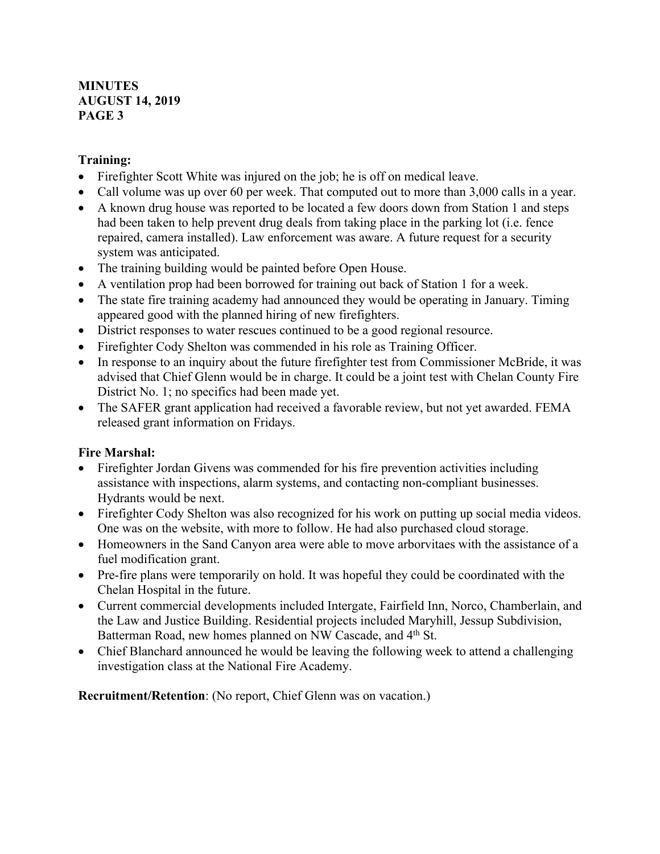## **Training:**

- Firefighter Scott White was injured on the job; he is off on medical leave.
- Call volume was up over 60 per week. That computed out to more than 3,000 calls in a year.
- A known drug house was reported to be located a few doors down from Station 1 and steps had been taken to help prevent drug deals from taking place in the parking lot (i.e. fence repaired, camera installed). Law enforcement was aware. A future request for a security system was anticipated.
- The training building would be painted before Open House.
- A ventilation prop had been borrowed for training out back of Station 1 for a week.
- The state fire training academy had announced they would be operating in January. Timing appeared good with the planned hiring of new firefighters.
- District responses to water rescues continued to be a good regional resource.
- Firefighter Cody Shelton was commended in his role as Training Officer.
- In response to an inquiry about the future firefighter test from Commissioner McBride, it was advised that Chief Glenn would be in charge. It could be a joint test with Chelan County Fire District No. 1; no specifics had been made yet.
- The SAFER grant application had received a favorable review, but not yet awarded. FEMA released grant information on Fridays.

## **Fire Marshal:**

- Firefighter Jordan Givens was commended for his fire prevention activities including assistance with inspections, alarm systems, and contacting non-compliant businesses. Hydrants would be next.
- Firefighter Cody Shelton was also recognized for his work on putting up social media videos. One was on the website, with more to follow. He had also purchased cloud storage.
- Homeowners in the Sand Canyon area were able to move arborvitaes with the assistance of a fuel modification grant.
- Pre-fire plans were temporarily on hold. It was hopeful they could be coordinated with the Chelan Hospital in the future.
- Current commercial developments included Intergate, Fairfield Inn, Norco, Chamberlain, and the Law and Justice Building. Residential projects included Maryhill, Jessup Subdivision, Batterman Road, new homes planned on NW Cascade, and 4<sup>th</sup> St.
- Chief Blanchard announced he would be leaving the following week to attend a challenging investigation class at the National Fire Academy.

**Recruitment/Retention**: (No report, Chief Glenn was on vacation.)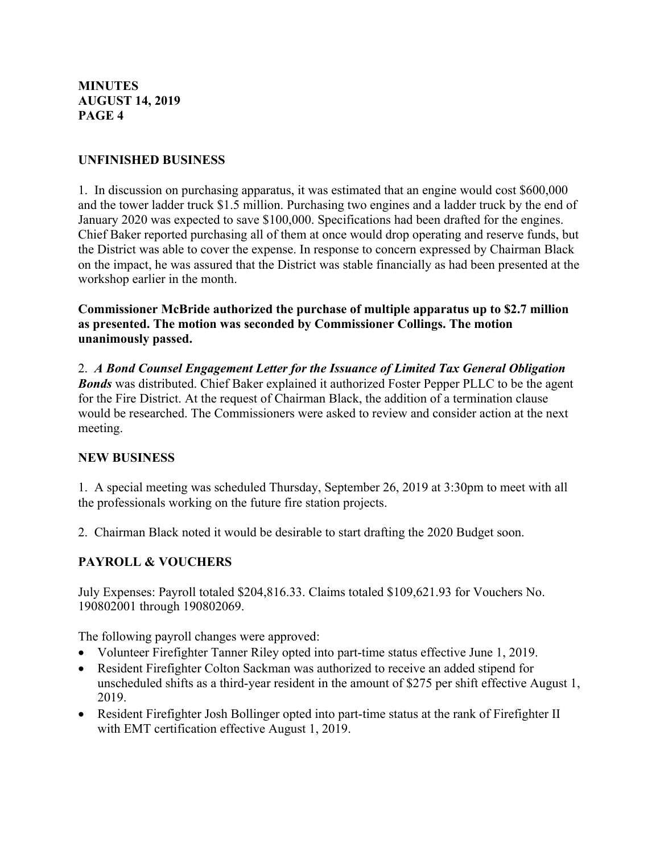### **UNFINISHED BUSINESS**

1. In discussion on purchasing apparatus, it was estimated that an engine would cost \$600,000 and the tower ladder truck \$1.5 million. Purchasing two engines and a ladder truck by the end of January 2020 was expected to save \$100,000. Specifications had been drafted for the engines. Chief Baker reported purchasing all of them at once would drop operating and reserve funds, but the District was able to cover the expense. In response to concern expressed by Chairman Black on the impact, he was assured that the District was stable financially as had been presented at the workshop earlier in the month.

**Commissioner McBride authorized the purchase of multiple apparatus up to \$2.7 million as presented. The motion was seconded by Commissioner Collings. The motion unanimously passed.**

2. *A Bond Counsel Engagement Letter for the Issuance of Limited Tax General Obligation Bonds* was distributed. Chief Baker explained it authorized Foster Pepper PLLC to be the agent for the Fire District. At the request of Chairman Black, the addition of a termination clause would be researched. The Commissioners were asked to review and consider action at the next meeting.

## **NEW BUSINESS**

1. A special meeting was scheduled Thursday, September 26, 2019 at 3:30pm to meet with all the professionals working on the future fire station projects.

2. Chairman Black noted it would be desirable to start drafting the 2020 Budget soon.

## **PAYROLL & VOUCHERS**

July Expenses: Payroll totaled \$204,816.33. Claims totaled \$109,621.93 for Vouchers No. 190802001 through 190802069.

The following payroll changes were approved:

- Volunteer Firefighter Tanner Riley opted into part-time status effective June 1, 2019.
- Resident Firefighter Colton Sackman was authorized to receive an added stipend for unscheduled shifts as a third-year resident in the amount of \$275 per shift effective August 1, 2019.
- Resident Firefighter Josh Bollinger opted into part-time status at the rank of Firefighter II with EMT certification effective August 1, 2019.